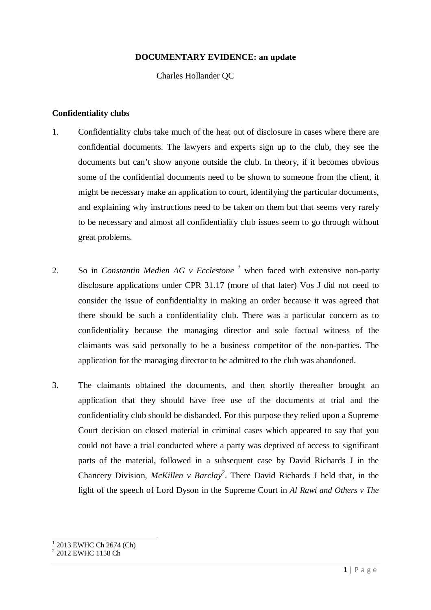#### **DOCUMENTARY EVIDENCE: an update**

Charles Hollander QC

## **Confidentiality clubs**

- 1. Confidentiality clubs take much of the heat out of disclosure in cases where there are confidential documents. The lawyers and experts sign up to the club, they see the documents but can't show anyone outside the club. In theory, if it becomes obvious some of the confidential documents need to be shown to someone from the client, it might be necessary make an application to court, identifying the particular documents, and explaining why instructions need to be taken on them but that seems very rarely to be necessary and almost all confidentiality club issues seem to go through without great problems.
- 2. So in *Constantin Medien AG v Ecclestone <sup>1</sup>* when faced with extensive non-party disclosure applications under CPR 31.17 (more of that later) Vos J did not need to consider the issue of confidentiality in making an order because it was agreed that there should be such a confidentiality club. There was a particular concern as to confidentiality because the managing director and sole factual witness of the claimants was said personally to be a business competitor of the non-parties. The application for the managing director to be admitted to the club was abandoned.
- 3. The claimants obtained the documents, and then shortly thereafter brought an application that they should have free use of the documents at trial and the confidentiality club should be disbanded. For this purpose they relied upon a Supreme Court decision on closed material in criminal cases which appeared to say that you could not have a trial conducted where a party was deprived of access to significant parts of the material, followed in a subsequent case by David Richards J in the Chancery Division, *McKillen v Barclay<sup>2</sup>* . There David Richards J held that, in the light of the speech of Lord Dyson in the Supreme Court in *Al Rawi and Others v The*

<sup>&</sup>lt;sup>1</sup> 2013 EWHC Ch 2674 (Ch)<br><sup>2</sup> 2012 EWHC 1158 Ch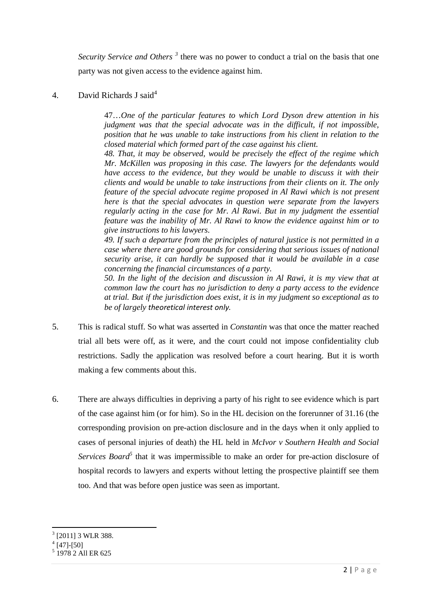Security Service and Others<sup>3</sup> there was no power to conduct a trial on the basis that one party was not given access to the evidence against him.

# 4. David Richards J said<sup>4</sup>

47…*One of the particular features to which Lord Dyson drew attention in his judgment was that the special advocate was in the difficult, if not impossible, position that he was unable to take instructions from his client in relation to the closed material which formed part of the case against his client.* 

*48. That, it may be observed, would be precisely the effect of the regime which Mr. McKillen was proposing in this case. The lawyers for the defendants would have access to the evidence, but they would be unable to discuss it with their clients and would be unable to take instructions from their clients on it. The only feature of the special advocate regime proposed in Al Rawi which is not present here is that the special advocates in question were separate from the lawyers regularly acting in the case for Mr. Al Rawi. But in my judgment the essential feature was the inability of Mr. Al Rawi to know the evidence against him or to give instructions to his lawyers.* 

*49. If such a departure from the principles of natural justice is not permitted in a case where there are good grounds for considering that serious issues of national security arise, it can hardly be supposed that it would be available in a case concerning the financial circumstances of a party.* 

*50. In the light of the decision and discussion in Al Rawi, it is my view that at common law the court has no jurisdiction to deny a party access to the evidence at trial. But if the jurisdiction does exist, it is in my judgment so exceptional as to be of largely theoretical interest only.* 

- 5. This is radical stuff. So what was asserted in *Constantin* was that once the matter reached trial all bets were off, as it were, and the court could not impose confidentiality club restrictions. Sadly the application was resolved before a court hearing. But it is worth making a few comments about this.
- 6. There are always difficulties in depriving a party of his right to see evidence which is part of the case against him (or for him). So in the HL decision on the forerunner of 31.16 (the corresponding provision on pre-action disclosure and in the days when it only applied to cases of personal injuries of death) the HL held in *McIvor v Southern Health and Social Services Board<sup>5</sup>* that it was impermissible to make an order for pre-action disclosure of hospital records to lawyers and experts without letting the prospective plaintiff see them too. And that was before open justice was seen as important.

<sup>3</sup> [2011] 3 WLR 388.

 $4$  [47]-[50]

<sup>5</sup> 1978 2 All ER 625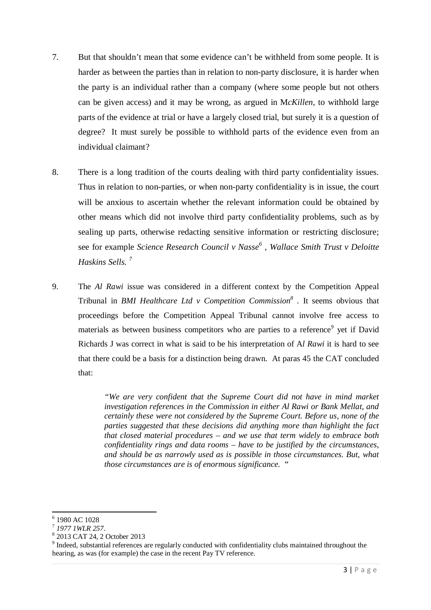- 7. But that shouldn't mean that some evidence can't be withheld from some people. It is harder as between the parties than in relation to non-party disclosure, it is harder when the party is an individual rather than a company (where some people but not others can be given access) and it may be wrong, as argued in M*cKillen,* to withhold large parts of the evidence at trial or have a largely closed trial, but surely it is a question of degree? It must surely be possible to withhold parts of the evidence even from an individual claimant?
- 8. There is a long tradition of the courts dealing with third party confidentiality issues. Thus in relation to non-parties, or when non-party confidentiality is in issue, the court will be anxious to ascertain whether the relevant information could be obtained by other means which did not involve third party confidentiality problems, such as by sealing up parts, otherwise redacting sensitive information or restricting disclosure; see for example *Science Research Council v Nasse<sup>6</sup> , Wallace Smith Trust v Deloitte Haskins Sells. <sup>7</sup>*
- 9. The *Al Rawi* issue was considered in a different context by the Competition Appeal Tribunal in *BMI Healthcare Ltd v Competition Commission<sup>8</sup> .* It seems obvious that proceedings before the Competition Appeal Tribunal cannot involve free access to materials as between business competitors who are parties to a reference<sup>9</sup> yet if David Richards J was correct in what is said to be his interpretation of A*l Rawi* it is hard to see that there could be a basis for a distinction being drawn. At paras 45 the CAT concluded that:

*"We are very confident that the Supreme Court did not have in mind market investigation references in the Commission in either Al Rawi or Bank Mellat, and certainly these were not considered by the Supreme Court. Before us, none of the parties suggested that these decisions did anything more than highlight the fact that closed material procedures – and we use that term widely to embrace both confidentiality rings and data rooms – have to be justified by the circumstances, and should be as narrowly used as is possible in those circumstances. But, what those circumstances are is of enormous significance.* "

 $\overline{a}$ 6 1980 AC 1028

<sup>7</sup> *1977 1WLR 257*.

<sup>8</sup> 2013 CAT 24, 2 October 2013

<sup>&</sup>lt;sup>9</sup> Indeed, substantial references are regularly conducted with confidentiality clubs maintained throughout the hearing, as was (for example) the case in the recent Pay TV reference.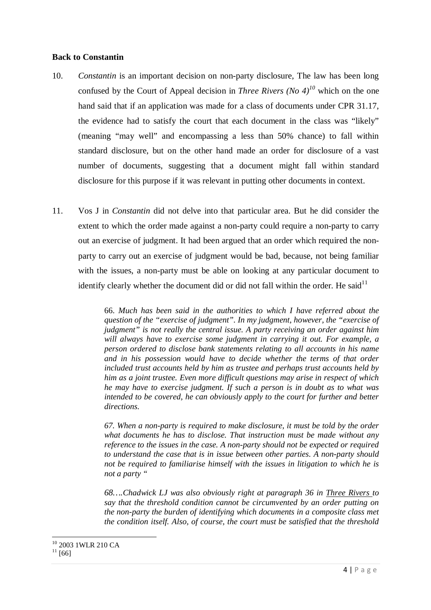#### **Back to Constantin**

- 10. *Constantin* is an important decision on non-party disclosure, The law has been long confused by the Court of Appeal decision in *Three Rivers* (No  $4$ )<sup>10</sup> which on the one hand said that if an application was made for a class of documents under CPR 31.17, the evidence had to satisfy the court that each document in the class was "likely" (meaning "may well" and encompassing a less than 50% chance) to fall within standard disclosure, but on the other hand made an order for disclosure of a vast number of documents, suggesting that a document might fall within standard disclosure for this purpose if it was relevant in putting other documents in context.
- 11. Vos J in *Constantin* did not delve into that particular area. But he did consider the extent to which the order made against a non-party could require a non-party to carry out an exercise of judgment. It had been argued that an order which required the nonparty to carry out an exercise of judgment would be bad, because, not being familiar with the issues, a non-party must be able on looking at any particular document to identify clearly whether the document did or did not fall within the order. He said $11$

66. *Much has been said in the authorities to which I have referred about the question of the "exercise of judgment". In my judgment, however, the "exercise of judgment" is not really the central issue. A party receiving an order against him will always have to exercise some judgment in carrying it out. For example, a person ordered to disclose bank statements relating to all accounts in his name and in his possession would have to decide whether the terms of that order included trust accounts held by him as trustee and perhaps trust accounts held by him as a joint trustee. Even more difficult questions may arise in respect of which he may have to exercise judgment. If such a person is in doubt as to what was intended to be covered, he can obviously apply to the court for further and better directions.* 

*67. When a non-party is required to make disclosure, it must be told by the order what documents he has to disclose. That instruction must be made without any reference to the issues in the case. A non-party should not be expected or required to understand the case that is in issue between other parties. A non-party should not be required to familiarise himself with the issues in litigation to which he is not a party "* 

*68….Chadwick LJ was also obviously right at paragraph 36 in Three Rivers to say that the threshold condition cannot be circumvented by an order putting on the non-party the burden of identifying which documents in a composite class met the condition itself. Also, of course, the court must be satisfied that the threshold* 

 $\overline{a}$ <sup>10</sup> 2003 1WLR 210 CA  $11 \overline{661}$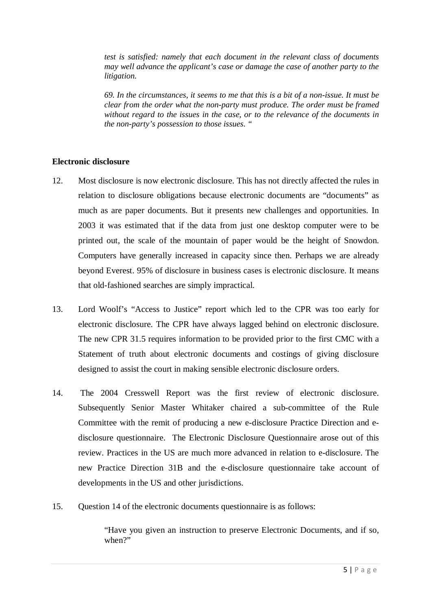*test is satisfied: namely that each document in the relevant class of documents may well advance the applicant's case or damage the case of another party to the litigation.* 

*69. In the circumstances, it seems to me that this is a bit of a non-issue. It must be clear from the order what the non-party must produce. The order must be framed without regard to the issues in the case, or to the relevance of the documents in the non-party's possession to those issues. "* 

## **Electronic disclosure**

- 12. Most disclosure is now electronic disclosure. This has not directly affected the rules in relation to disclosure obligations because electronic documents are "documents" as much as are paper documents. But it presents new challenges and opportunities. In 2003 it was estimated that if the data from just one desktop computer were to be printed out, the scale of the mountain of paper would be the height of Snowdon. Computers have generally increased in capacity since then. Perhaps we are already beyond Everest. 95% of disclosure in business cases is electronic disclosure. It means that old-fashioned searches are simply impractical.
- 13. Lord Woolf's "Access to Justice" report which led to the CPR was too early for electronic disclosure. The CPR have always lagged behind on electronic disclosure. The new CPR 31.5 requires information to be provided prior to the first CMC with a Statement of truth about electronic documents and costings of giving disclosure designed to assist the court in making sensible electronic disclosure orders.
- 14. The 2004 Cresswell Report was the first review of electronic disclosure. Subsequently Senior Master Whitaker chaired a sub-committee of the Rule Committee with the remit of producing a new e-disclosure Practice Direction and edisclosure questionnaire. The Electronic Disclosure Questionnaire arose out of this review. Practices in the US are much more advanced in relation to e-disclosure. The new Practice Direction 31B and the e-disclosure questionnaire take account of developments in the US and other jurisdictions.
- 15. Question 14 of the electronic documents questionnaire is as follows:

"Have you given an instruction to preserve Electronic Documents, and if so, when?"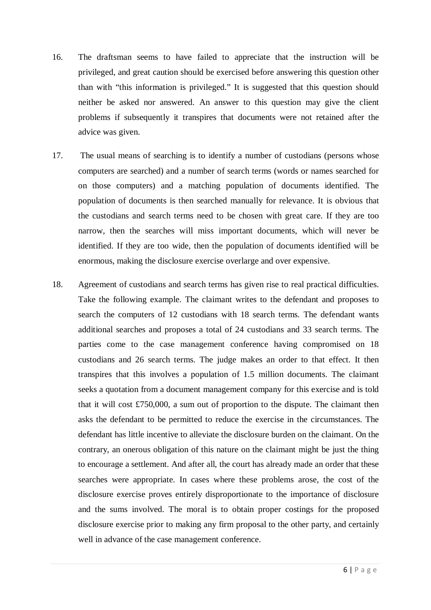- 16. The draftsman seems to have failed to appreciate that the instruction will be privileged, and great caution should be exercised before answering this question other than with "this information is privileged." It is suggested that this question should neither be asked nor answered. An answer to this question may give the client problems if subsequently it transpires that documents were not retained after the advice was given.
- 17. The usual means of searching is to identify a number of custodians (persons whose computers are searched) and a number of search terms (words or names searched for on those computers) and a matching population of documents identified. The population of documents is then searched manually for relevance. It is obvious that the custodians and search terms need to be chosen with great care. If they are too narrow, then the searches will miss important documents, which will never be identified. If they are too wide, then the population of documents identified will be enormous, making the disclosure exercise overlarge and over expensive.
- 18. Agreement of custodians and search terms has given rise to real practical difficulties. Take the following example. The claimant writes to the defendant and proposes to search the computers of 12 custodians with 18 search terms. The defendant wants additional searches and proposes a total of 24 custodians and 33 search terms. The parties come to the case management conference having compromised on 18 custodians and 26 search terms. The judge makes an order to that effect. It then transpires that this involves a population of 1.5 million documents. The claimant seeks a quotation from a document management company for this exercise and is told that it will cost £750,000, a sum out of proportion to the dispute. The claimant then asks the defendant to be permitted to reduce the exercise in the circumstances. The defendant has little incentive to alleviate the disclosure burden on the claimant. On the contrary, an onerous obligation of this nature on the claimant might be just the thing to encourage a settlement. And after all, the court has already made an order that these searches were appropriate. In cases where these problems arose, the cost of the disclosure exercise proves entirely disproportionate to the importance of disclosure and the sums involved. The moral is to obtain proper costings for the proposed disclosure exercise prior to making any firm proposal to the other party, and certainly well in advance of the case management conference.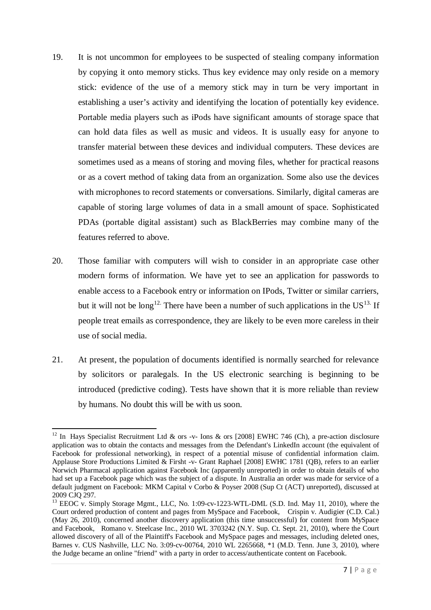- 19. It is not uncommon for employees to be suspected of stealing company information by copying it onto memory sticks. Thus key evidence may only reside on a memory stick: evidence of the use of a memory stick may in turn be very important in establishing a user's activity and identifying the location of potentially key evidence. Portable media players such as iPods have significant amounts of storage space that can hold data files as well as music and videos. It is usually easy for anyone to transfer material between these devices and individual computers. These devices are sometimes used as a means of storing and moving files, whether for practical reasons or as a covert method of taking data from an organization. Some also use the devices with microphones to record statements or conversations. Similarly, digital cameras are capable of storing large volumes of data in a small amount of space. Sophisticated PDAs (portable digital assistant) such as BlackBerries may combine many of the features referred to above.
- 20. Those familiar with computers will wish to consider in an appropriate case other modern forms of information. We have yet to see an application for passwords to enable access to a Facebook entry or information on IPods, Twitter or similar carriers, but it will not be long<sup>12.</sup> There have been a number of such applications in the  $US^{13}$ . If people treat emails as correspondence, they are likely to be even more careless in their use of social media.
- 21. At present, the population of documents identified is normally searched for relevance by solicitors or paralegals. In the US electronic searching is beginning to be introduced (predictive coding). Tests have shown that it is more reliable than review by humans. No doubt this will be with us soon.

l <sup>12</sup> In Hays Specialist Recruitment Ltd & ors -v- Ions & ors [2008] EWHC 746 (Ch), a pre-action disclosure application was to obtain the contacts and messages from the Defendant's LinkedIn account (the equivalent of Facebook for professional networking), in respect of a potential misuse of confidential information claim. Applause Store Productions Limited & Firsht -v- Grant Raphael [2008] EWHC 1781 (QB), refers to an earlier Norwich Pharmacal application against Facebook Inc (apparently unreported) in order to obtain details of who had set up a Facebook page which was the subject of a dispute. In Australia an order was made for service of a default judgment on Facebook: MKM Capital v Corbo & Poyser 2008 (Sup Ct (ACT) unreported), discussed at 2009 CJQ 297.

<sup>&</sup>lt;sup>13</sup> EEOC v. Simply Storage Mgmt., LLC, No. 1:09-cv-1223-WTL-DML (S.D. Ind. May 11, 2010), where the Court ordered production of content and pages from MySpace and Facebook, Crispin v. Audigier (C.D. Cal.) (May 26, 2010), concerned another discovery application (this time unsuccessful) for content from MySpace and Facebook, Romano v. Steelcase Inc., 2010 WL 3703242 (N.Y. Sup. Ct. Sept. 21, 2010), where the Court allowed discovery of all of the Plaintiff's Facebook and MySpace pages and messages, including deleted ones, Barnes v. CUS Nashville, LLC No. 3:09-cv-00764, 2010 WL 2265668, \*1 (M.D. Tenn. June 3, 2010), where the Judge became an online "friend" with a party in order to access/authenticate content on Facebook.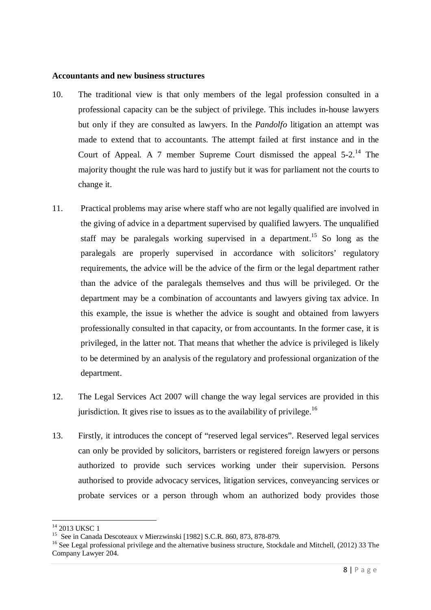#### **Accountants and new business structures**

- 10. The traditional view is that only members of the legal profession consulted in a professional capacity can be the subject of privilege. This includes in-house lawyers but only if they are consulted as lawyers. In the *Pandolfo* litigation an attempt was made to extend that to accountants. The attempt failed at first instance and in the Court of Appeal. A 7 member Supreme Court dismissed the appeal  $5\text{-}2^{14}$  The majority thought the rule was hard to justify but it was for parliament not the courts to change it.
- 11. Practical problems may arise where staff who are not legally qualified are involved in the giving of advice in a department supervised by qualified lawyers. The unqualified staff may be paralegals working supervised in a department.<sup>15</sup> So long as the paralegals are properly supervised in accordance with solicitors' regulatory requirements, the advice will be the advice of the firm or the legal department rather than the advice of the paralegals themselves and thus will be privileged. Or the department may be a combination of accountants and lawyers giving tax advice. In this example, the issue is whether the advice is sought and obtained from lawyers professionally consulted in that capacity, or from accountants. In the former case, it is privileged, in the latter not. That means that whether the advice is privileged is likely to be determined by an analysis of the regulatory and professional organization of the department.
- 12. The Legal Services Act 2007 will change the way legal services are provided in this jurisdiction. It gives rise to issues as to the availability of privilege.<sup>16</sup>
- 13. Firstly, it introduces the concept of "reserved legal services". Reserved legal services can only be provided by solicitors, barristers or registered foreign lawyers or persons authorized to provide such services working under their supervision. Persons authorised to provide advocacy services, litigation services, conveyancing services or probate services or a person through whom an authorized body provides those

 $14$  2013 UKSC 1

<sup>15</sup> See in Canada Descoteaux v Mierzwinski [1982] S.C.R. 860, 873, 878-879.

<sup>&</sup>lt;sup>16</sup> See Legal professional privilege and the alternative business structure, Stockdale and Mitchell, (2012) 33 The Company Lawyer 204.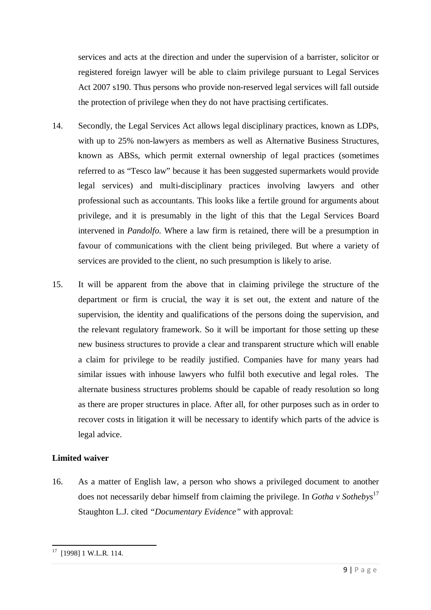services and acts at the direction and under the supervision of a barrister, solicitor or registered foreign lawyer will be able to claim privilege pursuant to Legal Services Act 2007 s190. Thus persons who provide non-reserved legal services will fall outside the protection of privilege when they do not have practising certificates.

- 14. Secondly, the Legal Services Act allows legal disciplinary practices, known as LDPs, with up to 25% non-lawyers as members as well as Alternative Business Structures, known as ABSs, which permit external ownership of legal practices (sometimes referred to as "Tesco law" because it has been suggested supermarkets would provide legal services) and multi-disciplinary practices involving lawyers and other professional such as accountants. This looks like a fertile ground for arguments about privilege, and it is presumably in the light of this that the Legal Services Board intervened in *Pandolfo.* Where a law firm is retained, there will be a presumption in favour of communications with the client being privileged. But where a variety of services are provided to the client, no such presumption is likely to arise.
- 15. It will be apparent from the above that in claiming privilege the structure of the department or firm is crucial, the way it is set out, the extent and nature of the supervision, the identity and qualifications of the persons doing the supervision, and the relevant regulatory framework. So it will be important for those setting up these new business structures to provide a clear and transparent structure which will enable a claim for privilege to be readily justified. Companies have for many years had similar issues with inhouse lawyers who fulfil both executive and legal roles. The alternate business structures problems should be capable of ready resolution so long as there are proper structures in place. After all, for other purposes such as in order to recover costs in litigation it will be necessary to identify which parts of the advice is legal advice.

# **Limited waiver**

16. As a matter of English law, a person who shows a privileged document to another does not necessarily debar himself from claiming the privilege. In *Gotha v Sothebys*<sup>17</sup> Staughton L.J. cited *"Documentary Evidence"* with approval:

 $17$  [1998] 1 W.L.R. 114.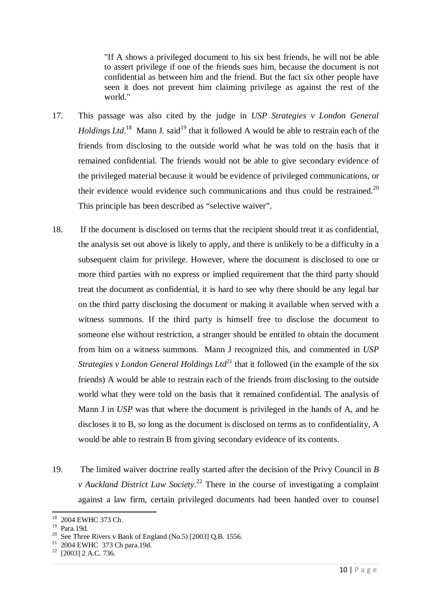"If A shows a privileged document to his six best friends, he will not be able to assert privilege if one of the friends sues him, because the document is not confidential as between him and the friend. But the fact six other people have seen it does not prevent him claiming privilege as against the rest of the world."

- 17. This passage was also cited by the judge in *USP Strategies v London General Holdings Ltd*.<sup>18</sup> Mann J. said<sup>19</sup> that it followed A would be able to restrain each of the friends from disclosing to the outside world what he was told on the basis that it remained confidential. The friends would not be able to give secondary evidence of the privileged material because it would be evidence of privileged communications, or their evidence would evidence such communications and thus could be restrained. $^{20}$ This principle has been described as "selective waiver".
- 18. If the document is disclosed on terms that the recipient should treat it as confidential, the analysis set out above is likely to apply, and there is unlikely to be a difficulty in a subsequent claim for privilege. However, where the document is disclosed to one or more third parties with no express or implied requirement that the third party should treat the document as confidential, it is hard to see why there should be any legal bar on the third party disclosing the document or making it available when served with a witness summons. If the third party is himself free to disclose the document to someone else without restriction, a stranger should be entitled to obtain the document from him on a witness summons. Mann J recognized this, and commented in *USP Strategies v London General Holdings Ltd*<sup>21</sup> that it followed (in the example of the six friends) A would be able to restrain each of the friends from disclosing to the outside world what they were told on the basis that it remained confidential. The analysis of Mann J in *USP* was that where the document is privileged in the hands of A, and he discloses it to B, so long as the document is disclosed on terms as to confidentiality, A would be able to restrain B from giving secondary evidence of its contents.
- 19. The limited waiver doctrine really started after the decision of the Privy Council in *B v Auckland District Law Society*. <sup>22</sup> There in the course of investigating a complaint against a law firm, certain privileged documents had been handed over to counsel

<sup>18</sup> 2004 EWHC 373 Ch.

<sup>19</sup> Para.19d.

<sup>&</sup>lt;sup>20</sup> See Three Rivers v Bank of England (No.5) [2003] Q.B. 1556.

 $21$  2004 EWHC 373 Ch para.19d.

 $22$  [2003] 2 A.C. 736.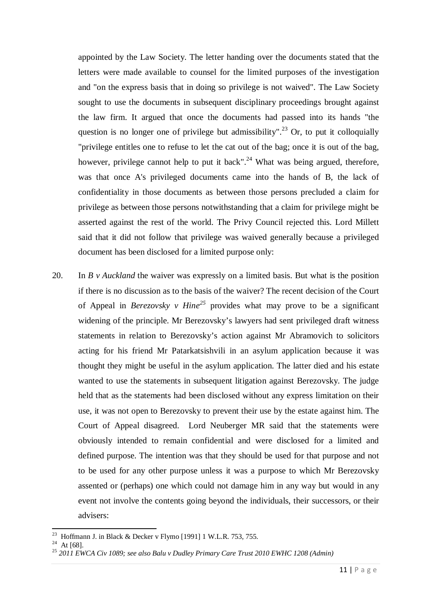appointed by the Law Society. The letter handing over the documents stated that the letters were made available to counsel for the limited purposes of the investigation and "on the express basis that in doing so privilege is not waived". The Law Society sought to use the documents in subsequent disciplinary proceedings brought against the law firm. It argued that once the documents had passed into its hands "the question is no longer one of privilege but admissibility".<sup>23</sup> Or, to put it colloquially "privilege entitles one to refuse to let the cat out of the bag; once it is out of the bag, however, privilege cannot help to put it back".<sup>24</sup> What was being argued, therefore, was that once A's privileged documents came into the hands of B, the lack of confidentiality in those documents as between those persons precluded a claim for privilege as between those persons notwithstanding that a claim for privilege might be asserted against the rest of the world. The Privy Council rejected this. Lord Millett said that it did not follow that privilege was waived generally because a privileged document has been disclosed for a limited purpose only:

20. In *B v Auckland* the waiver was expressly on a limited basis. But what is the position if there is no discussion as to the basis of the waiver? The recent decision of the Court of Appeal in *Berezovsky v Hine<sup>25</sup>* provides what may prove to be a significant widening of the principle. Mr Berezovsky's lawyers had sent privileged draft witness statements in relation to Berezovsky's action against Mr Abramovich to solicitors acting for his friend Mr Patarkatsishvili in an asylum application because it was thought they might be useful in the asylum application. The latter died and his estate wanted to use the statements in subsequent litigation against Berezovsky. The judge held that as the statements had been disclosed without any express limitation on their use, it was not open to Berezovsky to prevent their use by the estate against him. The Court of Appeal disagreed. Lord Neuberger MR said that the statements were obviously intended to remain confidential and were disclosed for a limited and defined purpose. The intention was that they should be used for that purpose and not to be used for any other purpose unless it was a purpose to which Mr Berezovsky assented or (perhaps) one which could not damage him in any way but would in any event not involve the contents going beyond the individuals, their successors, or their advisers:

l

<sup>&</sup>lt;sup>23</sup> Hoffmann J. in Black & Decker v Flymo [1991] 1 W.L.R. 753, 755.

 $24$  At [68].

<sup>25</sup> *2011 EWCA Civ 1089; see also Balu v Dudley Primary Care Trust 2010 EWHC 1208 (Admin)*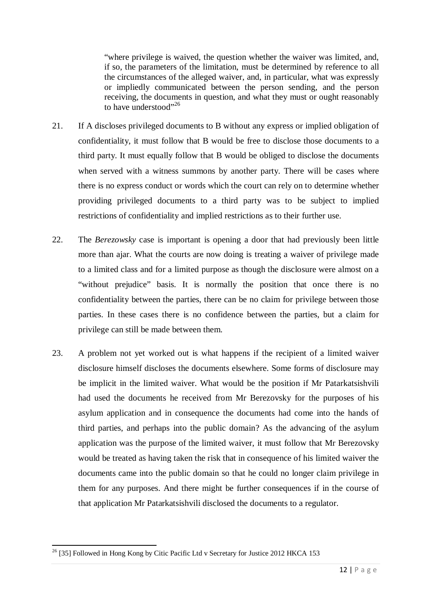"where privilege is waived, the question whether the waiver was limited, and, if so, the parameters of the limitation, must be determined by reference to all the circumstances of the alleged waiver, and, in particular, what was expressly or impliedly communicated between the person sending, and the person receiving, the documents in question, and what they must or ought reasonably to have understood"<sup>26</sup>

- 21. If A discloses privileged documents to B without any express or implied obligation of confidentiality, it must follow that B would be free to disclose those documents to a third party. It must equally follow that B would be obliged to disclose the documents when served with a witness summons by another party. There will be cases where there is no express conduct or words which the court can rely on to determine whether providing privileged documents to a third party was to be subject to implied restrictions of confidentiality and implied restrictions as to their further use.
- 22. The *Berezowsky* case is important is opening a door that had previously been little more than ajar. What the courts are now doing is treating a waiver of privilege made to a limited class and for a limited purpose as though the disclosure were almost on a "without prejudice" basis. It is normally the position that once there is no confidentiality between the parties, there can be no claim for privilege between those parties. In these cases there is no confidence between the parties, but a claim for privilege can still be made between them.
- 23. A problem not yet worked out is what happens if the recipient of a limited waiver disclosure himself discloses the documents elsewhere. Some forms of disclosure may be implicit in the limited waiver. What would be the position if Mr Patarkatsishvili had used the documents he received from Mr Berezovsky for the purposes of his asylum application and in consequence the documents had come into the hands of third parties, and perhaps into the public domain? As the advancing of the asylum application was the purpose of the limited waiver, it must follow that Mr Berezovsky would be treated as having taken the risk that in consequence of his limited waiver the documents came into the public domain so that he could no longer claim privilege in them for any purposes. And there might be further consequences if in the course of that application Mr Patarkatsishvili disclosed the documents to a regulator.

<sup>&</sup>lt;sup>26</sup> [35] Followed in Hong Kong by Citic Pacific Ltd v Secretary for Justice 2012 HKCA 153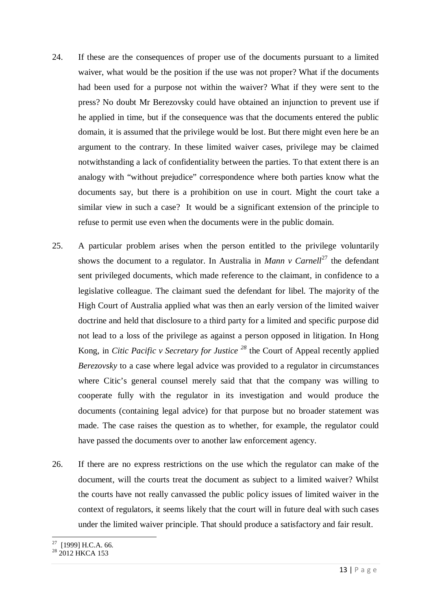- 24. If these are the consequences of proper use of the documents pursuant to a limited waiver, what would be the position if the use was not proper? What if the documents had been used for a purpose not within the waiver? What if they were sent to the press? No doubt Mr Berezovsky could have obtained an injunction to prevent use if he applied in time, but if the consequence was that the documents entered the public domain, it is assumed that the privilege would be lost. But there might even here be an argument to the contrary. In these limited waiver cases, privilege may be claimed notwithstanding a lack of confidentiality between the parties. To that extent there is an analogy with "without prejudice" correspondence where both parties know what the documents say, but there is a prohibition on use in court. Might the court take a similar view in such a case? It would be a significant extension of the principle to refuse to permit use even when the documents were in the public domain.
- 25. A particular problem arises when the person entitled to the privilege voluntarily shows the document to a regulator. In Australia in *Mann v Carnell*<sup>27</sup> the defendant sent privileged documents, which made reference to the claimant, in confidence to a legislative colleague. The claimant sued the defendant for libel. The majority of the High Court of Australia applied what was then an early version of the limited waiver doctrine and held that disclosure to a third party for a limited and specific purpose did not lead to a loss of the privilege as against a person opposed in litigation. In Hong Kong, in *Citic Pacific v Secretary for Justice <sup>28</sup>* the Court of Appeal recently applied *Berezovsky* to a case where legal advice was provided to a regulator in circumstances where Citic's general counsel merely said that that the company was willing to cooperate fully with the regulator in its investigation and would produce the documents (containing legal advice) for that purpose but no broader statement was made. The case raises the question as to whether, for example, the regulator could have passed the documents over to another law enforcement agency.
- 26. If there are no express restrictions on the use which the regulator can make of the document, will the courts treat the document as subject to a limited waiver? Whilst the courts have not really canvassed the public policy issues of limited waiver in the context of regulators, it seems likely that the court will in future deal with such cases under the limited waiver principle. That should produce a satisfactory and fair result.

 $27$  [1999] H.C.A. 66.

<sup>&</sup>lt;sup>28</sup> 2012 HKCA 153